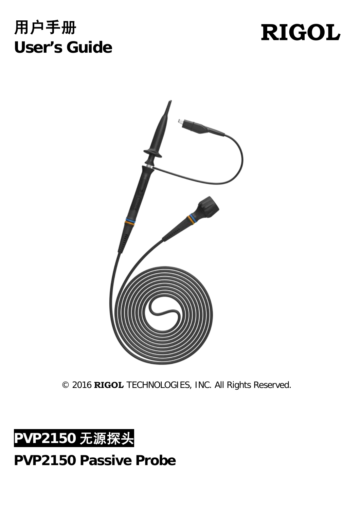## 用户手册 **User's Guide**

# **RIGOL**



© 2016 **RIGOL** TECHNOLOGIES, INC. All Rights Reserved.



### **PVP2150 Passive Probe**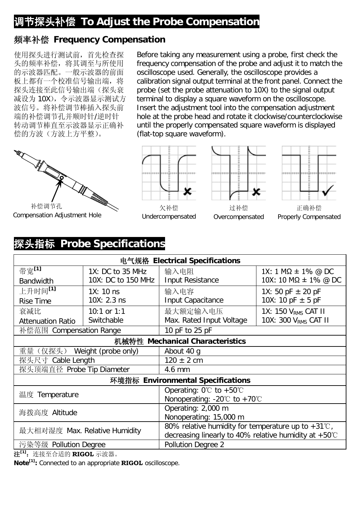#### 调节探头补偿 **To Adjust the Probe Compensation**

#### 频率补偿 **Frequency Compensation**

使用探头进行测试前,首先检查探 头的频率补偿,将其调至与所使用 的示波器匹配。一般示波器的前面 板上都有一个校准信号输出端,将 探头连接至此信号输出端(探头衰 减设为 10X),令示波器显示测试方 波信号。将补偿调节棒插入探头前 端的补偿调节孔并顺时针/逆时针 转动调节棒直至示波器显示正确补 偿的方波(方波上方平整)。

补偿调节孔

Compensation Adjustment Hole



(flat-top square waveform).

Undercompensated



Before taking any measurement using a probe, first check the frequency compensation of the probe and adjust it to match the oscilloscope used. Generally, the oscilloscope provides a calibration signal output terminal at the front panel. Connect the probe (set the probe attenuation to 10X) to the signal output terminal to display a square waveform on the oscilloscope. Insert the adjustment tool into the compensation adjustment hole at the probe head and rotate it clockwise/counterclockwise until the properly compensated square waveform is displayed





正确补偿 Properly Compensated

#### 探头指标 **Probe Specifications**

| 电气规格 Electrical Specifications    |                                                                 |                                                              |                                  |  |  |  |
|-----------------------------------|-----------------------------------------------------------------|--------------------------------------------------------------|----------------------------------|--|--|--|
| 带宽[1]                             | 1X: DC to 35 MHz                                                | 输入电阻                                                         | 1X: 1 MΩ $\pm$ 1% @ DC           |  |  |  |
| <b>Bandwidth</b>                  | 10X: DC to 150 MHz                                              | Input Resistance                                             | 10X: 10 MΩ $\pm$ 1% @ DC         |  |  |  |
| 上升时间 <sup>[1]</sup>               | $1X: 10$ ns                                                     | 输入电容                                                         | 1X: 50 pF $\pm$ 20 pF            |  |  |  |
| Rise Time                         | $10X: 2.3$ ns                                                   | Input Capacitance                                            | 10X: 10 pF $\pm$ 5 pF            |  |  |  |
| 衰减比                               | 10:1 or $1:1$                                                   | 最大额定输入电压                                                     | 1X: 150 V <sub>RMS</sub> CAT II  |  |  |  |
| <b>Attenuation Ratio</b>          | Switchable                                                      | Max. Rated Input Voltage                                     | 10X: 300 V <sub>RMS</sub> CAT II |  |  |  |
| 补偿范围 Compensation Range           |                                                                 | 10 pF to 25 pF                                               |                                  |  |  |  |
| 机械特性 Mechanical Characteristics   |                                                                 |                                                              |                                  |  |  |  |
| 重量(仅探头)<br>Weight (probe only)    |                                                                 | About 40 g                                                   |                                  |  |  |  |
| 探头尺寸 Cable Length                 |                                                                 | $120 \pm 2$ cm                                               |                                  |  |  |  |
| 探头顶端直径 Probe Tip Diameter         |                                                                 | 4.6 mm                                                       |                                  |  |  |  |
| 环境指标 Environmental Specifications |                                                                 |                                                              |                                  |  |  |  |
| 温度 Temperature                    |                                                                 | Operating: $0^{\circ}$ to +50 $^{\circ}$ C                   |                                  |  |  |  |
|                                   |                                                                 | Nonoperating: -20 $\degree$ C to +70 $\degree$ C             |                                  |  |  |  |
| 海拨高度 Altitude                     |                                                                 | Operating: 2,000 m                                           |                                  |  |  |  |
|                                   |                                                                 | Nonoperating: 15,000 m                                       |                                  |  |  |  |
| 最大相对湿度 Max. Relative Humidity     |                                                                 | 80% relative humidity for temperature up to $+31^{\circ}$ C, |                                  |  |  |  |
|                                   | decreasing linearly to 40% relative humidity at $+50^{\circ}$ C |                                                              |                                  |  |  |  |
| 污染等级 Pollution Degree             |                                                                 | Pollution Degree 2                                           |                                  |  |  |  |

注**[1]**:连接至合适的 **RIGOL** 示波器。

**Note[1]:** Connected to an appropriate **RIGOL** oscilloscope.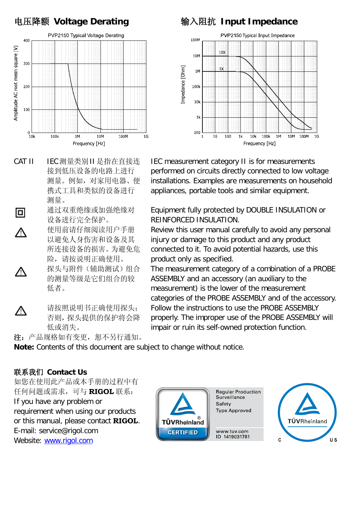

- CAT II IEC 测量类别 II 是指在直接连 接到低压设备的电路上进行 测量。例如,对家用电器、便 携式工具和类似的设备进行 测量。
- 通过双重绝缘或加强绝缘对 回 设备进行完全保护。 使用前请仔细阅读用户手册 以避免人身伤害和设备及其 所连接设备的损害。为避免危 险,请按说明正确使用。 探头与附件(辅助测试)组合 的测量等级是它们组合的较 低者。
- 请按照说明书正确使用探头; Λ 否则,探头提供的保护将会降 低或消失。

注:产品规格如有变更, 恕不另行通知。

#### 电压降额 **Voltage Derating** 输入阻抗 **Input Impedance**



IEC measurement category II is for measurements performed on circuits directly connected to low voltage installations. Examples are measurements on household appliances, portable tools and similar equipment.

Equipment fully protected by DOUBLE INSULATION or REINFORCED INSULATION.

Review this user manual carefully to avoid any personal injury or damage to this product and any product connected to it. To avoid potential hazards, use this product only as specified.

The measurement category of a combination of a PROBE ASSEMBLY and an accessory (an auxiliary to the measurement) is the lower of the measurement categories of the PROBE ASSEMBLY and of the accessory. Follow the instructions to use the PROBE ASSEMBLY properly. The improper use of the PROBE ASSEMBLY will impair or ruin its self-owned protection function.

**Note:** Contents of this document are subject to change without notice.

#### 联系我们 **Contact Us**

∕∖

∕∿

如您在使用此产品或本手册的过程中有 任何问题或需求,可与 **RIGOL** 联系: If you have any problem or requirement when using our products or this manual, please contact **RIGOL**. E-mail: service@rigol.com Example of the energy stream and the community of the theorem of the theorem is the theorem of the theorem in the theorem is the theorem of the theorem in the theorem is the theorem in the theorem in the theorem is the the



**Regular Production** Surveillance Safety **Type Approved** 

www.tuv.com